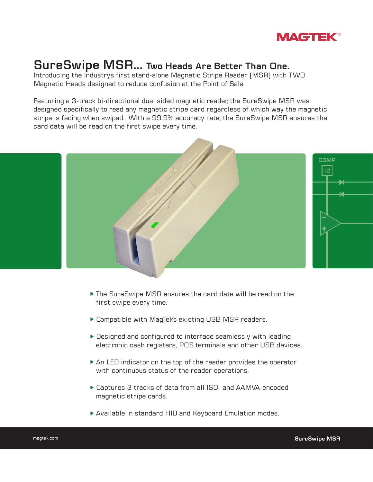

# **SureSwipe MSR... Two Heads Are Better Than One.**

Introducing the Industry's first stand-alone Magnetic Stripe Reader (MSR) with TWO Magnetic Heads designed to reduce confusion at the Point of Sale.

Featuring a 3-track bi-directional dual sided magnetic reader, the SureSwipe MSR was designed specifically to read any magnetic stripe card regardless of which way the magnetic stripe is facing when swiped. With a 99.9% accuracy rate, the SureSwipe MSR ensures the card data will be read on the first swipe every time.



- The SureSwipe MSR ensures the card data will be read on the first swipe every time.
- Compatible with MagTek's existing USB MSR readers.
- ▶ Designed and configured to interface seamlessly with leading electronic cash registers, POS terminals and other USB devices.
- An LED indicator on the top of the reader provides the operator with continuous status of the reader operations.
- Captures 3 tracks of data from all ISO- and AAMVA-encoded magnetic stripe cards.
- Available in standard HID and Keyboard Emulation modes.